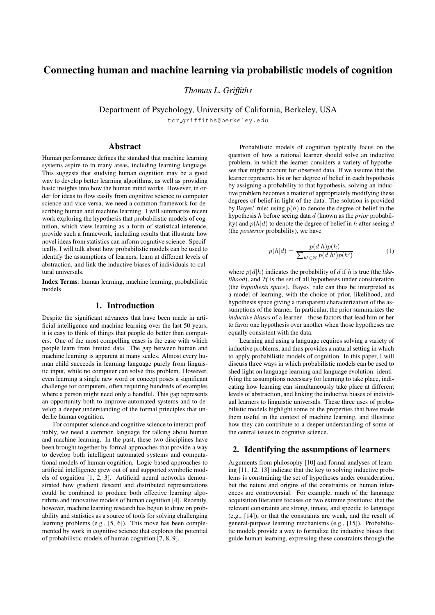# Connecting human and machine learning via probabilistic models of cognition

*Thomas L. Griffiths*

Department of Psychology, University of California, Berkeley, USA

tom griffiths@berkeley.edu

## Abstract

Human performance defines the standard that machine learning systems aspire to in many areas, including learning language. This suggests that studying human cognition may be a good way to develop better learning algorithms, as well as providing basic insights into how the human mind works. However, in order for ideas to flow easily from cognitive science to computer science and vice versa, we need a common framework for describing human and machine learning. I will summarize recent work exploring the hypothesis that probabilistic models of cognition, which view learning as a form of statistical inference, provide such a framework, including results that illustrate how novel ideas from statistics can inform cognitive science. Specifically, I will talk about how probabilistic models can be used to identify the assumptions of learners, learn at different levels of abstraction, and link the inductive biases of individuals to cultural universals.

Index Terms: human learning, machine learning, probabilistic models

#### 1. Introduction

Despite the significant advances that have been made in artificial intelligence and machine learning over the last 50 years, it is easy to think of things that people do better than computers. One of the most compelling cases is the ease with which people learn from limited data. The gap between human and machine learning is apparent at many scales. Almost every human child succeeds in learning language purely from linguistic input, while no computer can solve this problem. However, even learning a single new word or concept poses a significant challenge for computers, often requiring hundreds of examples where a person might need only a handful. This gap represents an opportunity both to improve automated systems and to develop a deeper understanding of the formal principles that underlie human cognition.

For computer science and cognitive science to interact profitably, we need a common language for talking about human and machine learning. In the past, these two disciplines have been brought together by formal approaches that provide a way to develop both intelligent automated systems and computational models of human cognition. Logic-based approaches to artificial intelligence grew out of and supported symbolic models of cognition [1, 2, 3]. Artificial neural networks demonstrated how gradient descent and distributed representations could be combined to produce both effective learning algorithms and innovative models of human cognition [4]. Recently, however, machine learning research has begun to draw on probability and statistics as a source of tools for solving challenging learning problems (e.g., [5, 6]). This move has been complemented by work in cognitive science that explores the potential of probabilistic models of human cognition [7, 8, 9].

Probabilistic models of cognition typically focus on the question of how a rational learner should solve an inductive problem, in which the learner considers a variety of hypotheses that might account for observed data. If we assume that the learner represents his or her degree of belief in each hypothesis by assigning a probability to that hypothesis, solving an inductive problem becomes a matter of appropriately modifying these degrees of belief in light of the data. The solution is provided by Bayes' rule: using  $p(h)$  to denote the degree of belief in the hypothesis h before seeing data d (known as the *prior* probability) and  $p(h|d)$  to denote the degree of belief in h after seeing d (the *posterior* probability), we have

$$
p(h|d) = \frac{p(d|h)p(h)}{\sum_{h' \in \mathcal{H}} p(d|h')p(h')}
$$
 (1)

where  $p(d|h)$  indicates the probability of d if h is true (the *like* $lihood$ , and  $H$  is the set of all hypotheses under consideration (the *hypothesis space*). Bayes' rule can thus be interpreted as a model of learning, with the choice of prior, likelihood, and hypothesis space giving a transparent characterization of the assumptions of the learner. In particular, the prior summarizes the *inductive biases* of a learner – those factors that lead him or her to favor one hypothesis over another when those hypotheses are equally consistent with the data.

Learning and using a language requires solving a variety of inductive problems, and thus provides a natural setting in which to apply probabilistic models of cognition. In this paper, I will discuss three ways in which probabilistic models can be used to shed light on language learning and language evolution: identifying the assumptions necessary for learning to take place, indicating how learning can simultaneously take place at different levels of abstraction, and linking the inductive biases of individual learners to linguistic universals. These three uses of probabilistic models highlight some of the properties that have made them useful in the context of machine learning, and illustrate how they can contribute to a deeper understanding of some of the central issues in cognitive science.

## 2. Identifying the assumptions of learners

Arguments from philosophy [10] and formal analyses of learning [11, 12, 13] indicate that the key to solving inductive problems is constraining the set of hypotheses under consideration, but the nature and origins of the constraints on human inferences are controversial. For example, much of the language acquisition literature focuses on two extreme positions: that the relevant constraints are strong, innate, and specific to language (e.g., [14]), or that the constraints are weak, and the result of general-purpose learning mechanisms (e.g., [15]). Probabilistic models provide a way to formalize the inductive biases that guide human learning, expressing these constraints through the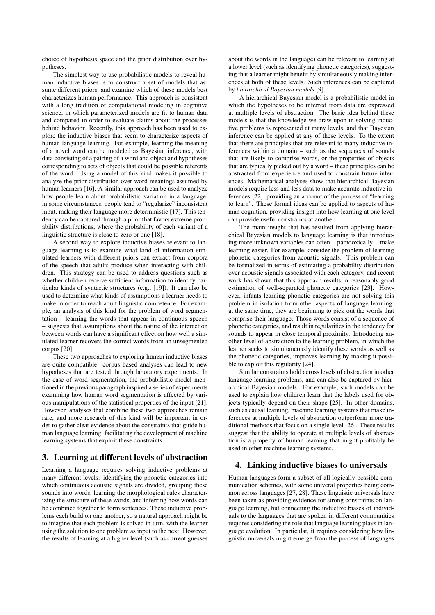choice of hypothesis space and the prior distribution over hypotheses.

The simplest way to use probabilistic models to reveal human inductive biases is to construct a set of models that assume different priors, and examine which of these models best characterizes human performance. This approach is consistent with a long tradition of computational modeling in cognitive science, in which parameterized models are fit to human data and compared in order to evaluate claims about the processes behind behavior. Recently, this approach has been used to explore the inductive biases that seem to characterize aspects of human language learning. For example, learning the meaning of a novel word can be modeled as Bayesian inference, with data consisting of a pairing of a word and object and hypotheses corresponding to sets of objects that could be possible referents of the word. Using a model of this kind makes it possible to analyze the prior distribution over word meanings assumed by human learners [16]. A similar approach can be used to analyze how people learn about probabilistic variation in a language: in some circumstances, people tend to "regularize" inconsistent input, making their language more deterministic [17]. This tendency can be captured through a prior that favors extreme probability distributions, where the probability of each variant of a linguistic structure is close to zero or one [18].

A second way to explore inductive biases relevant to language learning is to examine what kind of information simulated learners with different priors can extract from corpora of the speech that adults produce when interacting with children. This strategy can be used to address questions such as whether children receive sufficient information to identify particular kinds of syntactic structures (e.g., [19]). It can also be used to determine what kinds of assumptions a learner needs to make in order to reach adult linguistic competence. For example, an analysis of this kind for the problem of word segmentation – learning the words that appear in continuous speech – suggests that assumptions about the nature of the interaction between words can have a significant effect on how well a simulated learner recovers the correct words from an unsegmented corpus [20].

These two approaches to exploring human inductive biases are quite compatible: corpus based analyses can lead to new hypotheses that are tested through laboratory experiments. In the case of word segmentation, the probabilistic model mentioned in the previous paragraph inspired a series of experiments examining how human word segmentation is affected by various manipulations of the statistical properties of the input [21]. However, analyses that combine these two approaches remain rare, and more research of this kind will be important in order to gather clear evidence about the constraints that guide human language learning, facilitating the development of machine learning systems that exploit these constraints.

## 3. Learning at different levels of abstraction

Learning a language requires solving inductive problems at many different levels: identifying the phonetic categories into which continuous acoustic signals are divided, grouping these sounds into words, learning the morphological rules characterizing the structure of these words, and inferring how words can be combined together to form sentences. These inductive problems each build on one another, so a natural approach might be to imagine that each problem is solved in turn, with the learner using the solution to one problem as input to the next. However, the results of learning at a higher level (such as current guesses

about the words in the language) can be relevant to learning at a lower level (such as identifying phonetic categories), suggesting that a learner might benefit by simultaneously making inferences at both of these levels. Such inferences can be captured by *hierarchical Bayesian models* [9].

A hierarchical Bayesian model is a probabilistic model in which the hypotheses to be inferred from data are expressed at multiple levels of abstraction. The basic idea behind these models is that the knowledge we draw upon in solving inductive problems is represented at many levels, and that Bayesian inference can be applied at any of these levels. To the extent that there are principles that are relevant to many inductive inferences within a domain – such as the sequences of sounds that are likely to comprise words, or the properties of objects that are typically picked out by a word – these principles can be abstracted from experience and used to constrain future inferences. Mathematical analyses show that hierarchical Bayesian models require less and less data to make accurate inductive inferences [22], providing an account of the process of "learning to learn". These formal ideas can be applied to aspects of human cognition, providing insight into how learning at one level can provide useful constraints at another.

The main insight that has resulted from applying hierarchical Bayesian models to language learning is that introducing more unknown variables can often – paradoxically – make learning easier. For example, consider the problem of learning phonetic categories from acoustic signals. This problem can be formalized in terms of estimating a probability distribution over acoustic signals associated with each category, and recent work has shown that this approach results in reasonably good estimation of well-separated phonetic categories [23]. However, infants learning phonetic categories are not solving this problem in isolation from other aspects of language learning: at the same time, they are beginning to pick out the words that comprise their language. Those words consist of a sequence of phonetic categories, and result in regularities in the tendency for sounds to appear in close temporal proximity. Introducing another level of abstraction to the learning problem, in which the learner seeks to simultaneously identify these words as well as the phonetic categories, improves learning by making it possible to exploit this regularity [24].

Similar constraints hold across levels of abstraction in other language learning problems, and can also be captured by hierarchical Bayesian models. For example, such models can be used to explain how children learn that the labels used for objects typically depend on their shape [25]. In other domains, such as causal learning, machine learning systems that make inferences at multiple levels of abstraction outperform more traditional methods that focus on a single level [26]. These results suggest that the ability to operate at multiple levels of abstraction is a property of human learning that might profitably be used in other machine learning systems.

## 4. Linking inductive biases to universals

Human languages form a subset of all logically possible communication schemes, with some univeral properties being common across languages [27, 28]. These linguistic universals have been taken as providing evidence for strong constraints on language learning, but connecting the inductive biases of individuals to the languages that are spoken in different communities requires considering the role that language learning plays in language evolution. In particular, it requires considering how linguistic universals might emerge from the process of languages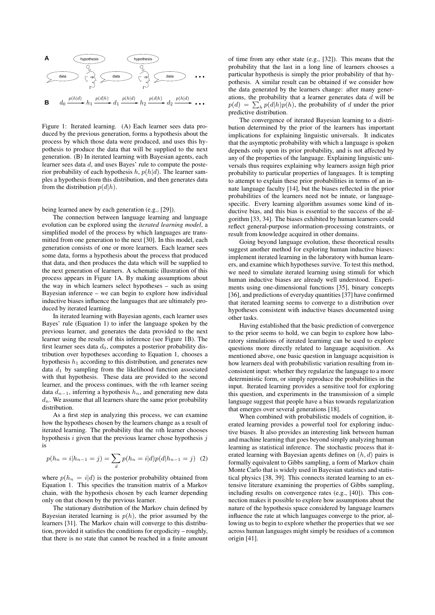

Figure 1: Iterated learning. (A) Each learner sees data produced by the previous generation, forms a hypothesis about the process by which those data were produced, and uses this hypothesis to produce the data that will be supplied to the next generation. (B) In iterated learning with Bayesian agents, each learner sees data d, and uses Bayes' rule to compute the posterior probability of each hypothesis h,  $p(h|d)$ . The learner samples a hypothesis from this distribution, and then generates data from the distribution  $p(d|h)$ .

being learned anew by each generation (e.g., [29]).

The connection between language learning and language evolution can be explored using the *iterated learning model*, a simplified model of the process by which languages are transmitted from one generation to the next [30]. In this model, each generation consists of one or more learners. Each learner sees some data, forms a hypothesis about the process that produced that data, and then produces the data which will be supplied to the next generation of learners. A schematic illustration of this process appears in Figure 1A. By making assumptions about the way in which learners select hypotheses – such as using Bayesian inference – we can begin to explore how individual inductive biases influence the languages that are ultimately produced by iterated learning.

In iterated learning with Bayesian agents, each learner uses Bayes' rule (Equation 1) to infer the language spoken by the previous learner, and generates the data provided to the next learner using the results of this inference (see Figure 1B). The first learner sees data  $d_0$ , computes a posterior probability distribution over hypotheses according to Equation 1, chooses a hypothesis  $h_1$  according to this distribution, and generates new data  $d_1$  by sampling from the likelihood function associated with that hypothesis. These data are provided to the second learner, and the process continues, with the nth learner seeing data  $d_{n-1}$ , inferring a hypothesis  $h_n$ , and generating new data  $d_n$ . We assume that all learners share the same prior probability distribution.

As a first step in analyzing this process, we can examine how the hypotheses chosen by the learners change as a result of iterated learning. The probability that the nth learner chooses hypothesis  $i$  given that the previous learner chose hypothesis  $j$ is

$$
p(h_n = i | h_{n-1} = j) = \sum_{d} p(h_n = i | d) p(d | h_{n-1} = j) \tag{2}
$$

where  $p(h_n = i|d)$  is the posterior probability obtained from Equation 1. This specifies the transition matrix of a Markov chain, with the hypothesis chosen by each learner depending only on that chosen by the previous learner.

The stationary distribution of the Markov chain defined by Bayesian iterated learning is  $p(h)$ , the prior assumed by the learners [31]. The Markov chain will converge to this distribution, provided it satisfies the conditions for ergodicity – roughly, that there is no state that cannot be reached in a finite amount of time from any other state (e.g., [32]). This means that the probability that the last in a long line of learners chooses a particular hypothesis is simply the prior probability of that hypothesis. A similar result can be obtained if we consider how the data generated by the learners change: after many generations, the probability that a learner generates data  $d$  will be  $p(d) = \sum_h p(d|h)p(h)$ , the probability of d under the prior predictive distribution.

The convergence of iterated Bayesian learning to a distribution determined by the prior of the learners has important implications for explaining linguistic universals. It indicates that the asymptotic probability with which a language is spoken depends only upon its prior probability, and is not affected by any of the properties of the language. Explaining linguistic universals thus requires explaining why learners assign high prior probability to particular properties of languages. It is tempting to attempt to explain these prior probabilities in terms of an innate language faculty [14], but the biases reflected in the prior probabilities of the learners need not be innate, or languagespecific. Every learning algorithm assumes some kind of inductive bias, and this bias is essential to the success of the algorithm [33, 34]. The biases exhibited by human learners could reflect general-purpose information-processing constraints, or result from knowledge acquired in other domains.

Going beyond language evolution, these theoretical results suggest another method for exploring human inductive biases: implement iterated learning in the laboratory with human learners, and examine which hypotheses survive. To test this method, we need to simulate iterated learning using stimuli for which human inductive biases are already well understood. Experiments using one-dimensional functions [35], binary concepts [36], and predictions of everyday quantities [37] have confirmed that iterated learning seems to converge to a distribution over hypotheses consistent with inductive biases documented using other tasks.

Having established that the basic prediction of convergence to the prior seems to hold, we can begin to explore how laboratory simulations of iterated learnimg can be used to explore questions more directly related to language acquisition. As mentioned above, one basic question in language acquisition is how learners deal with probabilistic variation resulting from inconsistent input: whether they regularize the language to a more deterministic form, or simply reproduce the probabilities in the input. Iterated learning provides a sensitive tool for exploring this question, and experiments in the transmission of a simple language suggest that people have a bias towards regularization that emerges over several generations [18].

When combined with probabilistic models of cognition, iterated learning provides a powerful tool for exploring inductive biases. It also provides an interesting link between human and machine learning that goes beyond simply analyzing human learning as statistical inference. The stochastic process that iterated learning with Bayesian agents defines on  $(h, d)$  pairs is formally equivalent to Gibbs sampling, a form of Markov chain Monte Carlo that is widely used in Bayesian statistics and statistical physics [38, 39]. This connects iterated learning to an extensive literature examining the properties of Gibbs sampling, including results on convergence rates (e.g., [40]). This connection makes it possible to explore how assumptions about the nature of the hypothesis space considered by language learners influence the rate at which languages converge to the prior, allowing us to begin to explore whether the properties that we see across human languages might simply be residues of a common origin [41].